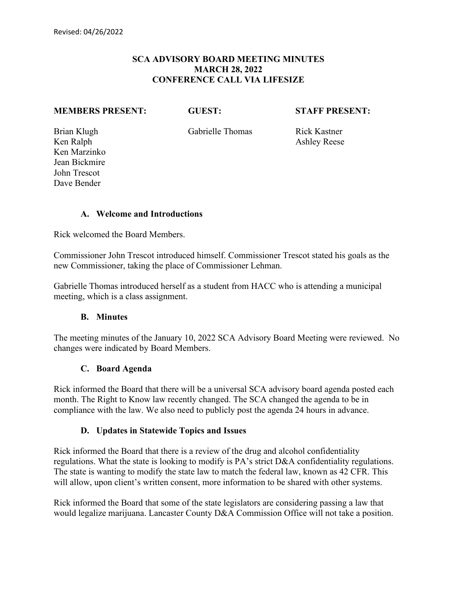## **SCA ADVISORY BOARD MEETING MINUTES MARCH 28, 2022 CONFERENCE CALL VIA LIFESIZE**

#### **MEMBERS PRESENT: GUEST: STAFF PRESENT:**

Brian Klugh Gabrielle Thomas Rick Kastner

Ken Ralph Ashley Reese Ken Marzinko Jean Bickmire John Trescot Dave Bender

#### **A. Welcome and Introductions**

Rick welcomed the Board Members.

Commissioner John Trescot introduced himself. Commissioner Trescot stated his goals as the new Commissioner, taking the place of Commissioner Lehman.

Gabrielle Thomas introduced herself as a student from HACC who is attending a municipal meeting, which is a class assignment.

#### **B. Minutes**

The meeting minutes of the January 10, 2022 SCA Advisory Board Meeting were reviewed. No changes were indicated by Board Members.

#### **C. Board Agenda**

Rick informed the Board that there will be a universal SCA advisory board agenda posted each month. The Right to Know law recently changed. The SCA changed the agenda to be in compliance with the law. We also need to publicly post the agenda 24 hours in advance.

#### **D. Updates in Statewide Topics and Issues**

Rick informed the Board that there is a review of the drug and alcohol confidentiality regulations. What the state is looking to modify is PA's strict D&A confidentiality regulations. The state is wanting to modify the state law to match the federal law, known as 42 CFR. This will allow, upon client's written consent, more information to be shared with other systems.

Rick informed the Board that some of the state legislators are considering passing a law that would legalize marijuana. Lancaster County D&A Commission Office will not take a position.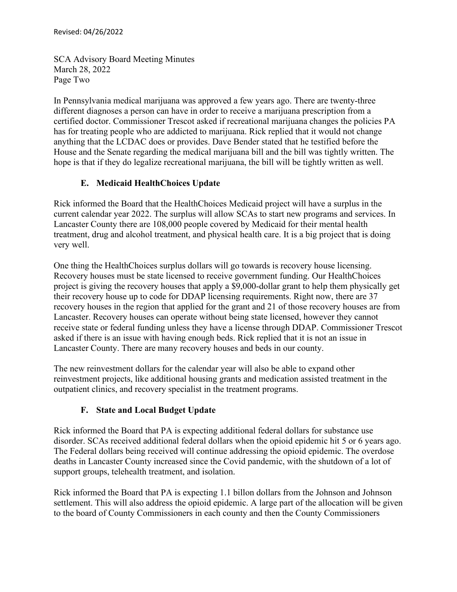SCA Advisory Board Meeting Minutes March 28, 2022 Page Two

In Pennsylvania medical marijuana was approved a few years ago. There are twenty-three different diagnoses a person can have in order to receive a marijuana prescription from a certified doctor. Commissioner Trescot asked if recreational marijuana changes the policies PA has for treating people who are addicted to marijuana. Rick replied that it would not change anything that the LCDAC does or provides. Dave Bender stated that he testified before the House and the Senate regarding the medical marijuana bill and the bill was tightly written. The hope is that if they do legalize recreational marijuana, the bill will be tightly written as well.

# **E. Medicaid HealthChoices Update**

Rick informed the Board that the HealthChoices Medicaid project will have a surplus in the current calendar year 2022. The surplus will allow SCAs to start new programs and services. In Lancaster County there are 108,000 people covered by Medicaid for their mental health treatment, drug and alcohol treatment, and physical health care. It is a big project that is doing very well.

One thing the HealthChoices surplus dollars will go towards is recovery house licensing. Recovery houses must be state licensed to receive government funding. Our HealthChoices project is giving the recovery houses that apply a \$9,000-dollar grant to help them physically get their recovery house up to code for DDAP licensing requirements. Right now, there are 37 recovery houses in the region that applied for the grant and 21 of those recovery houses are from Lancaster. Recovery houses can operate without being state licensed, however they cannot receive state or federal funding unless they have a license through DDAP. Commissioner Trescot asked if there is an issue with having enough beds. Rick replied that it is not an issue in Lancaster County. There are many recovery houses and beds in our county.

The new reinvestment dollars for the calendar year will also be able to expand other reinvestment projects, like additional housing grants and medication assisted treatment in the outpatient clinics, and recovery specialist in the treatment programs.

# **F. State and Local Budget Update**

Rick informed the Board that PA is expecting additional federal dollars for substance use disorder. SCAs received additional federal dollars when the opioid epidemic hit 5 or 6 years ago. The Federal dollars being received will continue addressing the opioid epidemic. The overdose deaths in Lancaster County increased since the Covid pandemic, with the shutdown of a lot of support groups, telehealth treatment, and isolation.

Rick informed the Board that PA is expecting 1.1 billon dollars from the Johnson and Johnson settlement. This will also address the opioid epidemic. A large part of the allocation will be given to the board of County Commissioners in each county and then the County Commissioners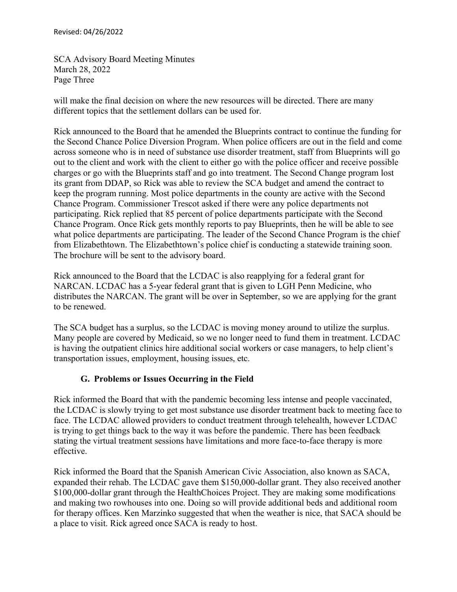SCA Advisory Board Meeting Minutes March 28, 2022 Page Three

will make the final decision on where the new resources will be directed. There are many different topics that the settlement dollars can be used for.

Rick announced to the Board that he amended the Blueprints contract to continue the funding for the Second Chance Police Diversion Program. When police officers are out in the field and come across someone who is in need of substance use disorder treatment, staff from Blueprints will go out to the client and work with the client to either go with the police officer and receive possible charges or go with the Blueprints staff and go into treatment. The Second Change program lost its grant from DDAP, so Rick was able to review the SCA budget and amend the contract to keep the program running. Most police departments in the county are active with the Second Chance Program. Commissioner Trescot asked if there were any police departments not participating. Rick replied that 85 percent of police departments participate with the Second Chance Program. Once Rick gets monthly reports to pay Blueprints, then he will be able to see what police departments are participating. The leader of the Second Chance Program is the chief from Elizabethtown. The Elizabethtown's police chief is conducting a statewide training soon. The brochure will be sent to the advisory board.

Rick announced to the Board that the LCDAC is also reapplying for a federal grant for NARCAN. LCDAC has a 5-year federal grant that is given to LGH Penn Medicine, who distributes the NARCAN. The grant will be over in September, so we are applying for the grant to be renewed.

The SCA budget has a surplus, so the LCDAC is moving money around to utilize the surplus. Many people are covered by Medicaid, so we no longer need to fund them in treatment. LCDAC is having the outpatient clinics hire additional social workers or case managers, to help client's transportation issues, employment, housing issues, etc.

# **G. Problems or Issues Occurring in the Field**

Rick informed the Board that with the pandemic becoming less intense and people vaccinated, the LCDAC is slowly trying to get most substance use disorder treatment back to meeting face to face. The LCDAC allowed providers to conduct treatment through telehealth, however LCDAC is trying to get things back to the way it was before the pandemic. There has been feedback stating the virtual treatment sessions have limitations and more face-to-face therapy is more effective.

Rick informed the Board that the Spanish American Civic Association, also known as SACA, expanded their rehab. The LCDAC gave them \$150,000-dollar grant. They also received another \$100,000-dollar grant through the HealthChoices Project. They are making some modifications and making two rowhouses into one. Doing so will provide additional beds and additional room for therapy offices. Ken Marzinko suggested that when the weather is nice, that SACA should be a place to visit. Rick agreed once SACA is ready to host.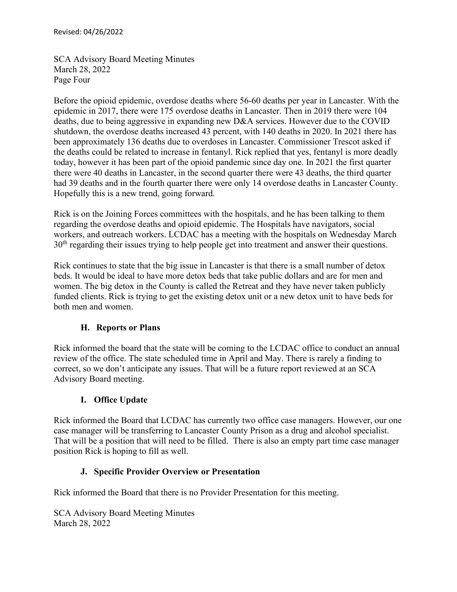SCA Advisory Board Meeting Minutes March 28, 2022 Page Four

Before the opioid epidemic, overdose deaths where 56-60 deaths per year in Lancaster. With the epidemic in 2017, there were 175 overdose deaths in Lancaster. Then in 2019 there were 104 deaths, due to being aggressive in expanding new D&A services. However due to the COVID shutdown, the overdose deaths increased 43 percent, with 140 deaths in 2020. In 2021 there has been approximately 136 deaths due to overdoses in Lancaster. Commissioner Trescot asked if the deaths could be related to increase in fentanyl. Rick replied that yes, fentanyl is more deadly today, however it has been part of the opioid pandemic since day one. In 2021 the first quarter there were 40 deaths in Lancaster, in the second quarter there were 43 deaths, the third quarter had 39 deaths and in the fourth quarter there were only 14 overdose deaths in Lancaster County. Hopefully this is a new trend, going forward.

Rick is on the Joining Forces committees with the hospitals, and he has been talking to them regarding the overdose deaths and opioid epidemic. The Hospitals have navigators, social workers, and outreach workers. LCDAC has a meeting with the hospitals on Wednesday March 30<sup>th</sup> regarding their issues trying to help people get into treatment and answer their questions.

Rick continues to state that the big issue in Lancaster is that there is a small number of detox beds. It would be ideal to have more detox beds that take public dollars and are for men and women. The big detox in the County is called the Retreat and they have never taken publicly funded clients. Rick is trying to get the existing detox unit or a new detox unit to have beds for both men and women.

# **H. Reports or Plans**

Rick informed the board that the state will be coming to the LCDAC office to conduct an annual review of the office. The state scheduled time in April and May. There is rarely a finding to correct, so we don't anticipate any issues. That will be a future report reviewed at an SCA Advisory Board meeting.

# **I. Office Update**

Rick informed the Board that LCDAC has currently two office case managers. However, our one case manager will be transferring to Lancaster County Prison as a drug and alcohol specialist. That will be a position that will need to be filled. There is also an empty part time case manager position Rick is hoping to fill as well.

# **J. Specific Provider Overview or Presentation**

Rick informed the Board that there is no Provider Presentation for this meeting.

SCA Advisory Board Meeting Minutes March 28, 2022